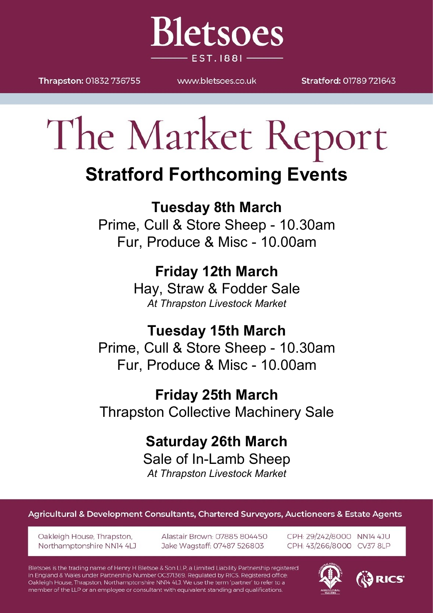Thrapston: 01832 736755

WWW.bletsoes.co.uk

**Bletsoes** 

**EST. 1881-**

Stratford: 01789 721643

# The Market Report

### **Stratford Forthcoming Events**

**Tuesday 8th March** Prime, Cull & Store Sheep - 10.30am Fur, Produce & Misc - 10.00am

> **Friday 12th March** Hay, Straw & Fodder Sale *At Thrapston Livestock Market*

**Tuesday 15th March** Prime, Cull & Store Sheep - 10.30am Fur, Produce & Misc - 10.00am

**Friday 25th March** Thrapston Collective Machinery Sale

> **Saturday 26th March** Sale of In-Lamb Sheep *At Thrapston Livestock Market*

Agricultural & Development Consultants, Chartered Surveyors, Auctioneers & Estate Agents

Oakleigh House, Thrapston, Northamptonshire NN14 4LJ Alastair Brown: 07885 804450 Jake Wagstaff: 07487 526803

CPH: 29/242/8000 NN14 4JU CPH: 43/266/8000 CV37 8LP

Bletsoes is the trading name of Henry H Bletsoe & Son LLP, a Limited Liability Partnership registered in England & Wales under Partnership Number OC371369. Regulated by RICS. Registered office: Oakleigh House, Thrapston, Northamptonshire NN14 4LJ. We use the term 'partner' to refer to a member of the LLP or an employee or consultant with equivalent standing and qualifications.

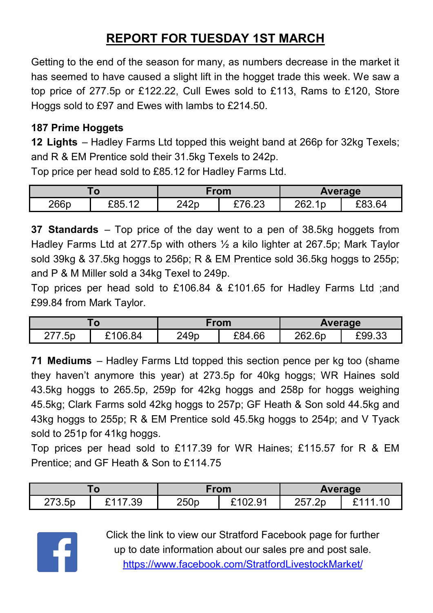#### **REPORT FOR TUESDAY 1ST MARCH**

Getting to the end of the season for many, as numbers decrease in the market it has seemed to have caused a slight lift in the hogget trade this week. We saw a top price of 277.5p or £122.22, Cull Ewes sold to £113, Rams to £120, Store Hoggs sold to £97 and Ewes with lambs to £214.50.

#### **187 Prime Hoggets**

**12 Lights** – Hadley Farms Ltd topped this weight band at 266p for 32kg Texels; and R & EM Prentice sold their 31.5kg Texels to 242p.

Top price per head sold to £85.12 for Hadley Farms Ltd.

| 1 V  |                      | From |        | Average        |                  |
|------|----------------------|------|--------|----------------|------------------|
| 266p | £85.12<br>$\sqrt{2}$ | 242p | £76.23 | 262.1p<br>Z0Z. | F83 64<br>$-0.1$ |

**37 Standards** – Top price of the day went to a pen of 38.5kg hoggets from Hadley Farms Ltd at 277.5p with others ½ a kilo lighter at 267.5p; Mark Taylor sold 39kg & 37.5kg hoggs to 256p; R & EM Prentice sold 36.5kg hoggs to 255p; and P & M Miller sold a 34kg Texel to 249p.

Top prices per head sold to £106.84 & £101.65 for Hadley Farms Ltd ;and £99.84 from Mark Taylor.

| $\mathbf{o}$  |         | From |        | <b>Average</b> |        |
|---------------|---------|------|--------|----------------|--------|
| ヘララ<br>277.5p | £106.84 | 249p | £84.66 | 262.6p         | £99.33 |

**71 Mediums** – Hadley Farms Ltd topped this section pence per kg too (shame they haven't anymore this year) at 273.5p for 40kg hoggs; WR Haines sold 43.5kg hoggs to 265.5p, 259p for 42kg hoggs and 258p for hoggs weighing 45.5kg; Clark Farms sold 42kg hoggs to 257p; GF Heath & Son sold 44.5kg and 43kg hoggs to 255p; R & EM Prentice sold 45.5kg hoggs to 254p; and V Tyack sold to 251p for 41kg hoggs.

Top prices per head sold to £117.39 for WR Haines; £115.57 for R & EM Prentice; and GF Heath & Son to £114.75

|        |              | From |       | <b>Average</b> |         |
|--------|--------------|------|-------|----------------|---------|
| 273.5p | 0.447<br>.39 | 250p | 02.91 | 257.2p         | 0.4.4.4 |



Click the link to view our Stratford Facebook page for further up to date information about our sales pre and post sale. <https://www.facebook.com/StratfordLivestockMarket/>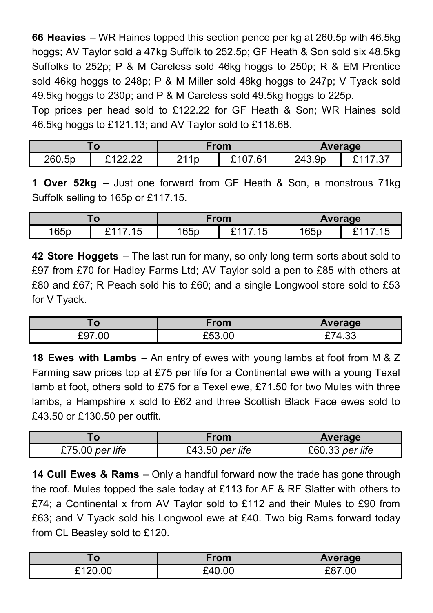**66 Heavies** – WR Haines topped this section pence per kg at 260.5p with 46.5kg hoggs; AV Taylor sold a 47kg Suffolk to 252.5p; GF Heath & Son sold six 48.5kg Suffolks to 252p; P & M Careless sold 46kg hoggs to 250p; R & EM Prentice sold 46kg hoggs to 248p; P & M Miller sold 48kg hoggs to 247p; V Tyack sold 49.5kg hoggs to 230p; and P & M Careless sold 49.5kg hoggs to 225p.

Top prices per head sold to £122.22 for GF Heath & Son; WR Haines sold 46.5kg hoggs to £121.13; and AV Taylor sold to £118.68.

| . u    |                 | From |                            | <b>Average</b> |   |
|--------|-----------------|------|----------------------------|----------------|---|
| 260.5p | 0.400<br>------ | 211p | 0^1^<br>61<br>ັັ<br>$\sim$ | 243.9p         | ົ |

**1 Over 52kg** – Just one forward from GF Heath & Son, a monstrous 71kg Suffolk selling to 165p or £117.15.

| , u  |                | From |                              | Average |  |
|------|----------------|------|------------------------------|---------|--|
| 165p | ີ່<br>脉<br>ں ا | 165p | 1 F<br>$^{\bullet}$ 4<br>ں ا | 165p    |  |

**42 Store Hoggets** – The last run for many, so only long term sorts about sold to £97 from £70 for Hadley Farms Ltd; AV Taylor sold a pen to £85 with others at £80 and £67; R Peach sold his to £60; and a single Longwool store sold to £53 for V Tyack.

| . O         | From   | <b>Average</b> |
|-------------|--------|----------------|
| .00.<br>£97 | £53.00 | ∼−<br>Ί<br>טטו |

**18 Ewes with Lambs** – An entry of ewes with young lambs at foot from M & Z Farming saw prices top at £75 per life for a Continental ewe with a young Texel lamb at foot, others sold to £75 for a Texel ewe, £71.50 for two Mules with three lambs, a Hampshire x sold to £62 and three Scottish Black Face ewes sold to £43.50 or £130.50 per outfit.

|                 | From              | Average           |  |
|-----------------|-------------------|-------------------|--|
| £75.00 per life | $£43.50$ per life | $£60.33$ per life |  |

**14 Cull Ewes & Rams** – Only a handful forward now the trade has gone through the roof. Mules topped the sale today at £113 for AF & RF Slatter with others to £74; a Continental x from AV Taylor sold to £112 and their Mules to £90 from £63; and V Tyack sold his Longwool ewe at £40. Two big Rams forward today from CL Beasley sold to £120.

|                | From   | Average |  |
|----------------|--------|---------|--|
| 0.400<br>20.00 | 240.00 | .00     |  |